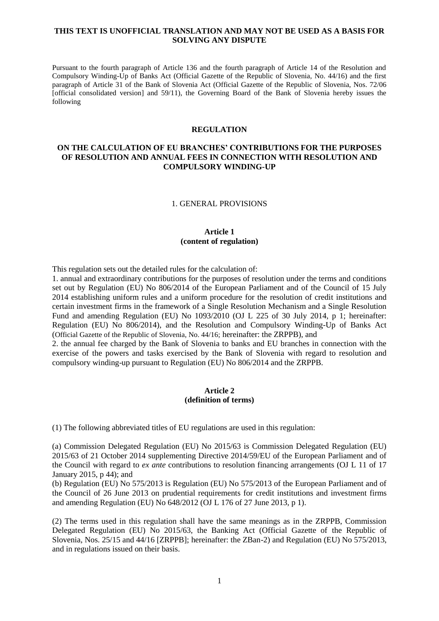#### **THIS TEXT IS UNOFFICIAL TRANSLATION AND MAY NOT BE USED AS A BASIS FOR SOLVING ANY DISPUTE**

Pursuant to the fourth paragraph of Article 136 and the fourth paragraph of Article 14 of the Resolution and Compulsory Winding-Up of Banks Act (Official Gazette of the Republic of Slovenia, No. 44/16) and the first paragraph of Article 31 of the Bank of Slovenia Act (Official Gazette of the Republic of Slovenia, Nos. 72/06 [official consolidated version] and 59/11), the Governing Board of the Bank of Slovenia hereby issues the following

#### **REGULATION**

# **ON THE CALCULATION OF EU BRANCHES' CONTRIBUTIONS FOR THE PURPOSES OF RESOLUTION AND ANNUAL FEES IN CONNECTION WITH RESOLUTION AND COMPULSORY WINDING-UP**

#### 1. GENERAL PROVISIONS

### **Article 1 (content of regulation)**

This regulation sets out the detailed rules for the calculation of:

1. annual and extraordinary contributions for the purposes of resolution under the terms and conditions set out by Regulation (EU) No 806/2014 of the European Parliament and of the Council of 15 July 2014 establishing uniform rules and a uniform procedure for the resolution of credit institutions and certain investment firms in the framework of a Single Resolution Mechanism and a Single Resolution Fund and amending Regulation (EU) No 1093/2010 (OJ L 225 of 30 July 2014, p 1; hereinafter: Regulation (EU) No 806/2014), and the Resolution and Compulsory Winding-Up of Banks Act (Official Gazette of the Republic of Slovenia, No. 44/16; hereinafter: the ZRPPB), and

2. the annual fee charged by the Bank of Slovenia to banks and EU branches in connection with the exercise of the powers and tasks exercised by the Bank of Slovenia with regard to resolution and compulsory winding-up pursuant to Regulation (EU) No 806/2014 and the ZRPPB.

#### **Article 2 (definition of terms)**

(1) The following abbreviated titles of EU regulations are used in this regulation:

(a) Commission Delegated Regulation (EU) No 2015/63 is Commission Delegated Regulation (EU) 2015/63 of 21 October 2014 supplementing Directive 2014/59/EU of the European Parliament and of the Council with regard to *ex ante* contributions to resolution financing arrangements (OJ L 11 of 17 January 2015, p 44); and

(b) Regulation (EU) No 575/2013 is Regulation (EU) No 575/2013 of the European Parliament and of the Council of 26 June 2013 on prudential requirements for credit institutions and investment firms and amending Regulation (EU) No 648/2012 (OJ L 176 of 27 June 2013, p 1).

(2) The terms used in this regulation shall have the same meanings as in the ZRPPB, Commission Delegated Regulation (EU) No 2015/63, the Banking Act (Official Gazette of the Republic of Slovenia, Nos. 25/15 and 44/16 [ZRPPB]; hereinafter: the ZBan-2) and Regulation (EU) No 575/2013, and in regulations issued on their basis.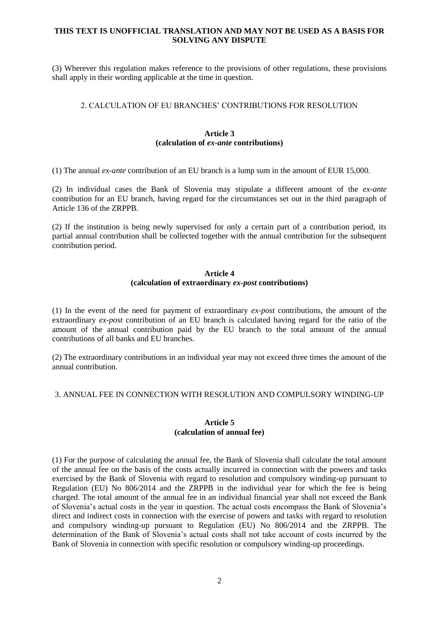### **THIS TEXT IS UNOFFICIAL TRANSLATION AND MAY NOT BE USED AS A BASIS FOR SOLVING ANY DISPUTE**

(3) Wherever this regulation makes reference to the provisions of other regulations, these provisions shall apply in their wording applicable at the time in question.

## 2. CALCULATION OF EU BRANCHES' CONTRIBUTIONS FOR RESOLUTION

## **Article 3 (calculation of** *ex-ante* **contributions)**

(1) The annual *ex-ante* contribution of an EU branch is a lump sum in the amount of EUR 15,000.

(2) In individual cases the Bank of Slovenia may stipulate a different amount of the *ex-ante*  contribution for an EU branch, having regard for the circumstances set out in the third paragraph of Article 136 of the ZRPPB.

(2) If the institution is being newly supervised for only a certain part of a contribution period, its partial annual contribution shall be collected together with the annual contribution for the subsequent contribution period.

#### **Article 4 (calculation of extraordinary** *ex-post* **contributions)**

(1) In the event of the need for payment of extraordinary *ex-post* contributions, the amount of the extraordinary *ex-post* contribution of an EU branch is calculated having regard for the ratio of the amount of the annual contribution paid by the EU branch to the total amount of the annual contributions of all banks and EU branches.

(2) The extraordinary contributions in an individual year may not exceed three times the amount of the annual contribution.

### 3. ANNUAL FEE IN CONNECTION WITH RESOLUTION AND COMPULSORY WINDING-UP

#### **Article 5 (calculation of annual fee)**

(1) For the purpose of calculating the annual fee, the Bank of Slovenia shall calculate the total amount of the annual fee on the basis of the costs actually incurred in connection with the powers and tasks exercised by the Bank of Slovenia with regard to resolution and compulsory winding-up pursuant to Regulation (EU) No 806/2014 and the ZRPPB in the individual year for which the fee is being charged. The total amount of the annual fee in an individual financial year shall not exceed the Bank of Slovenia's actual costs in the year in question. The actual costs encompass the Bank of Slovenia's direct and indirect costs in connection with the exercise of powers and tasks with regard to resolution and compulsory winding-up pursuant to Regulation (EU) No 806/2014 and the ZRPPB. The determination of the Bank of Slovenia's actual costs shall not take account of costs incurred by the Bank of Slovenia in connection with specific resolution or compulsory winding-up proceedings.